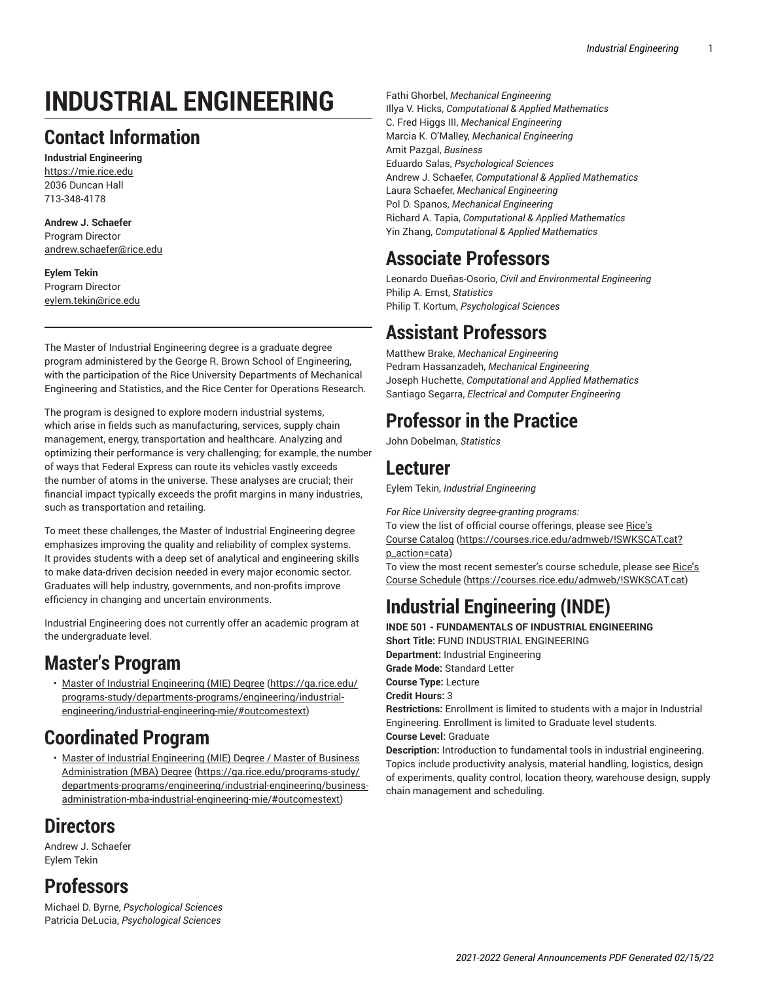# **INDUSTRIAL ENGINEERING**

## **Contact Information**

**Industrial Engineering** <https://mie.rice.edu> 2036 Duncan Hall 713-348-4178

**Andrew J. Schaefer** Program Director [andrew.schaefer@rice.edu](mailto:andrew.schaefer@rice.edu)

**Eylem Tekin** Program Director [eylem.tekin@rice.edu](mailto:eylem.tekin@rice.edu)

The Master of Industrial Engineering degree is a graduate degree program administered by the George R. Brown School of Engineering, with the participation of the Rice University Departments of Mechanical Engineering and Statistics, and the Rice Center for Operations Research.

The program is designed to explore modern industrial systems, which arise in fields such as manufacturing, services, supply chain management, energy, transportation and healthcare. Analyzing and optimizing their performance is very challenging; for example, the number of ways that Federal Express can route its vehicles vastly exceeds the number of atoms in the universe. These analyses are crucial; their financial impact typically exceeds the profit margins in many industries, such as transportation and retailing.

To meet these challenges, the Master of Industrial Engineering degree emphasizes improving the quality and reliability of complex systems. It provides students with a deep set of analytical and engineering skills to make data-driven decision needed in every major economic sector. Graduates will help industry, governments, and non-profits improve efficiency in changing and uncertain environments.

Industrial Engineering does not currently offer an academic program at the undergraduate level.

# **Master's Program**

• Master of Industrial [Engineering](https://ga.rice.edu/programs-study/departments-programs/engineering/industrial-engineering/industrial-engineering-mie/#outcomestext) (MIE) Degree [\(https://ga.rice.edu/](https://ga.rice.edu/programs-study/departments-programs/engineering/industrial-engineering/industrial-engineering-mie/#outcomestext) [programs-study/departments-programs/engineering/industrial](https://ga.rice.edu/programs-study/departments-programs/engineering/industrial-engineering/industrial-engineering-mie/#outcomestext)[engineering/industrial-engineering-mie/#outcomestext](https://ga.rice.edu/programs-study/departments-programs/engineering/industrial-engineering/industrial-engineering-mie/#outcomestext))

## **Coordinated Program**

• Master of Industrial [Engineering](https://ga.rice.edu/programs-study/departments-programs/engineering/industrial-engineering/business-administration-mba-industrial-engineering-mie/#outcomestext) (MIE) Degree / Master of Business [Administration](https://ga.rice.edu/programs-study/departments-programs/engineering/industrial-engineering/business-administration-mba-industrial-engineering-mie/#outcomestext) (MBA) Degree ([https://ga.rice.edu/programs-study/](https://ga.rice.edu/programs-study/departments-programs/engineering/industrial-engineering/business-administration-mba-industrial-engineering-mie/#outcomestext) [departments-programs/engineering/industrial-engineering/business](https://ga.rice.edu/programs-study/departments-programs/engineering/industrial-engineering/business-administration-mba-industrial-engineering-mie/#outcomestext)[administration-mba-industrial-engineering-mie/#outcomestext](https://ga.rice.edu/programs-study/departments-programs/engineering/industrial-engineering/business-administration-mba-industrial-engineering-mie/#outcomestext))

# **Directors**

Andrew J. Schaefer Eylem Tekin

## **Professors**

Michael D. Byrne, *Psychological Sciences* Patricia DeLucia, *Psychological Sciences*

Fathi Ghorbel, *Mechanical Engineering*  Illya V. Hicks, *Computational & Applied Mathematics* C. Fred Higgs III, *Mechanical Engineering* Marcia K. O'Malley, *Mechanical Engineering* Amit Pazgal, *Business*  Eduardo Salas, *Psychological Sciences* Andrew J. Schaefer, *Computational & Applied Mathematics* Laura Schaefer, *Mechanical Engineering*  Pol D. Spanos, *Mechanical Engineering*  Richard A. Tapia, *Computational & Applied Mathematics* Yin Zhang, *Computational & Applied Mathematics*

# **Associate Professors**

Leonardo Dueñas-Osorio, *Civil and Environmental Engineering* Philip A. Ernst, *Statistics* Philip T. Kortum, *Psychological Sciences*

# **Assistant Professors**

Matthew Brake, *Mechanical Engineering*  Pedram Hassanzadeh, *Mechanical Engineering*  Joseph Huchette, *Computational and Applied Mathematics* Santiago Segarra, *Electrical and Computer Engineering*

## **Professor in the Practice**

John Dobelman, *Statistics*

### **Lecturer**

Eylem Tekin, *Industrial Engineering* 

*For Rice University degree-granting programs:*

To view the list of official course offerings, please see [Rice's](https://courses.rice.edu/admweb/!SWKSCAT.cat?p_action=cata)

[Course Catalog](https://courses.rice.edu/admweb/!SWKSCAT.cat?p_action=cata) [\(https://courses.rice.edu/admweb/!SWKSCAT.cat?](https://courses.rice.edu/admweb/!SWKSCAT.cat?p_action=cata) [p\\_action=cata](https://courses.rice.edu/admweb/!SWKSCAT.cat?p_action=cata))

To view the most recent semester's course schedule, please see [Rice's](https://courses.rice.edu/admweb/!SWKSCAT.cat) [Course Schedule](https://courses.rice.edu/admweb/!SWKSCAT.cat) ([https://courses.rice.edu/admweb/!SWKSCAT.cat\)](https://courses.rice.edu/admweb/!SWKSCAT.cat)

# **Industrial Engineering (INDE)**

**INDE 501 - FUNDAMENTALS OF INDUSTRIAL ENGINEERING Short Title:** FUND INDUSTRIAL ENGINEERING **Department:** Industrial Engineering **Grade Mode:** Standard Letter **Course Type:** Lecture **Credit Hours:** 3 **Restrictions:** Enrollment is limited to students with a major in Industrial Engineering. Enrollment is limited to Graduate level students. **Course Level:** Graduate

**Description:** Introduction to fundamental tools in industrial engineering. Topics include productivity analysis, material handling, logistics, design of experiments, quality control, location theory, warehouse design, supply chain management and scheduling.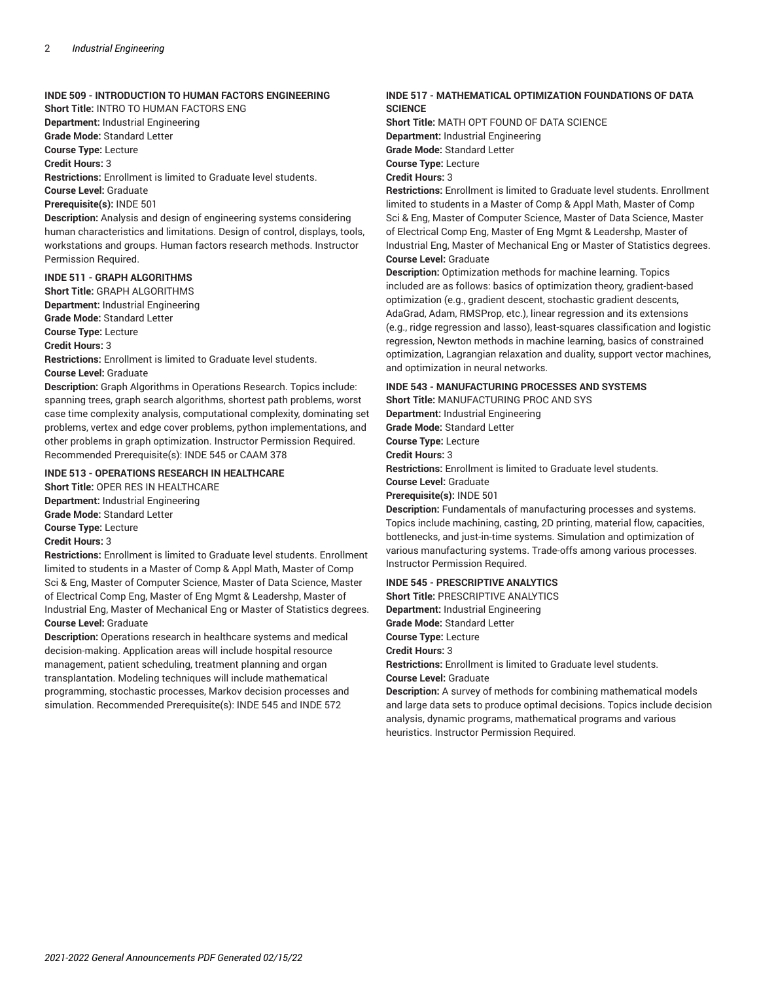#### **INDE 509 - INTRODUCTION TO HUMAN FACTORS ENGINEERING**

**Short Title:** INTRO TO HUMAN FACTORS ENG

**Department:** Industrial Engineering

**Grade Mode:** Standard Letter

**Course Type:** Lecture

**Credit Hours:** 3

**Restrictions:** Enrollment is limited to Graduate level students.

**Course Level:** Graduate

**Prerequisite(s):** INDE 501

**Description:** Analysis and design of engineering systems considering human characteristics and limitations. Design of control, displays, tools, workstations and groups. Human factors research methods. Instructor Permission Required.

#### **INDE 511 - GRAPH ALGORITHMS**

**Short Title:** GRAPH ALGORITHMS **Department:** Industrial Engineering **Grade Mode:** Standard Letter **Course Type:** Lecture

**Credit Hours:** 3

**Restrictions:** Enrollment is limited to Graduate level students.

**Course Level:** Graduate

**Description:** Graph Algorithms in Operations Research. Topics include: spanning trees, graph search algorithms, shortest path problems, worst case time complexity analysis, computational complexity, dominating set problems, vertex and edge cover problems, python implementations, and other problems in graph optimization. Instructor Permission Required. Recommended Prerequisite(s): INDE 545 or CAAM 378

#### **INDE 513 - OPERATIONS RESEARCH IN HEALTHCARE**

**Short Title:** OPER RES IN HEALTHCARE **Department:** Industrial Engineering **Grade Mode:** Standard Letter **Course Type:** Lecture

**Credit Hours:** 3

**Restrictions:** Enrollment is limited to Graduate level students. Enrollment limited to students in a Master of Comp & Appl Math, Master of Comp Sci & Eng, Master of Computer Science, Master of Data Science, Master of Electrical Comp Eng, Master of Eng Mgmt & Leadershp, Master of Industrial Eng, Master of Mechanical Eng or Master of Statistics degrees. **Course Level:** Graduate

**Description:** Operations research in healthcare systems and medical decision-making. Application areas will include hospital resource management, patient scheduling, treatment planning and organ transplantation. Modeling techniques will include mathematical programming, stochastic processes, Markov decision processes and simulation. Recommended Prerequisite(s): INDE 545 and INDE 572

#### **INDE 517 - MATHEMATICAL OPTIMIZATION FOUNDATIONS OF DATA SCIENCE**

**Short Title:** MATH OPT FOUND OF DATA SCIENCE **Department:** Industrial Engineering **Grade Mode:** Standard Letter **Course Type:** Lecture **Credit Hours:** 3

**Restrictions:** Enrollment is limited to Graduate level students. Enrollment limited to students in a Master of Comp & Appl Math, Master of Comp Sci & Eng, Master of Computer Science, Master of Data Science, Master of Electrical Comp Eng, Master of Eng Mgmt & Leadershp, Master of Industrial Eng, Master of Mechanical Eng or Master of Statistics degrees. **Course Level:** Graduate

**Description:** Optimization methods for machine learning. Topics included are as follows: basics of optimization theory, gradient-based optimization (e.g., gradient descent, stochastic gradient descents, AdaGrad, Adam, RMSProp, etc.), linear regression and its extensions (e.g., ridge regression and lasso), least-squares classification and logistic regression, Newton methods in machine learning, basics of constrained optimization, Lagrangian relaxation and duality, support vector machines, and optimization in neural networks.

#### **INDE 543 - MANUFACTURING PROCESSES AND SYSTEMS**

**Short Title:** MANUFACTURING PROC AND SYS

**Department:** Industrial Engineering **Grade Mode:** Standard Letter **Course Type:** Lecture **Credit Hours:** 3 **Restrictions:** Enrollment is limited to Graduate level students. **Course Level:** Graduate **Prerequisite(s):** INDE 501

**Description:** Fundamentals of manufacturing processes and systems. Topics include machining, casting, 2D printing, material flow, capacities, bottlenecks, and just-in-time systems. Simulation and optimization of various manufacturing systems. Trade-offs among various processes. Instructor Permission Required.

#### **INDE 545 - PRESCRIPTIVE ANALYTICS**

**Short Title:** PRESCRIPTIVE ANALYTICS **Department:** Industrial Engineering **Grade Mode:** Standard Letter **Course Type:** Lecture **Credit Hours:** 3 **Restrictions:** Enrollment is limited to Graduate level students. **Course Level:** Graduate

**Description:** A survey of methods for combining mathematical models and large data sets to produce optimal decisions. Topics include decision analysis, dynamic programs, mathematical programs and various heuristics. Instructor Permission Required.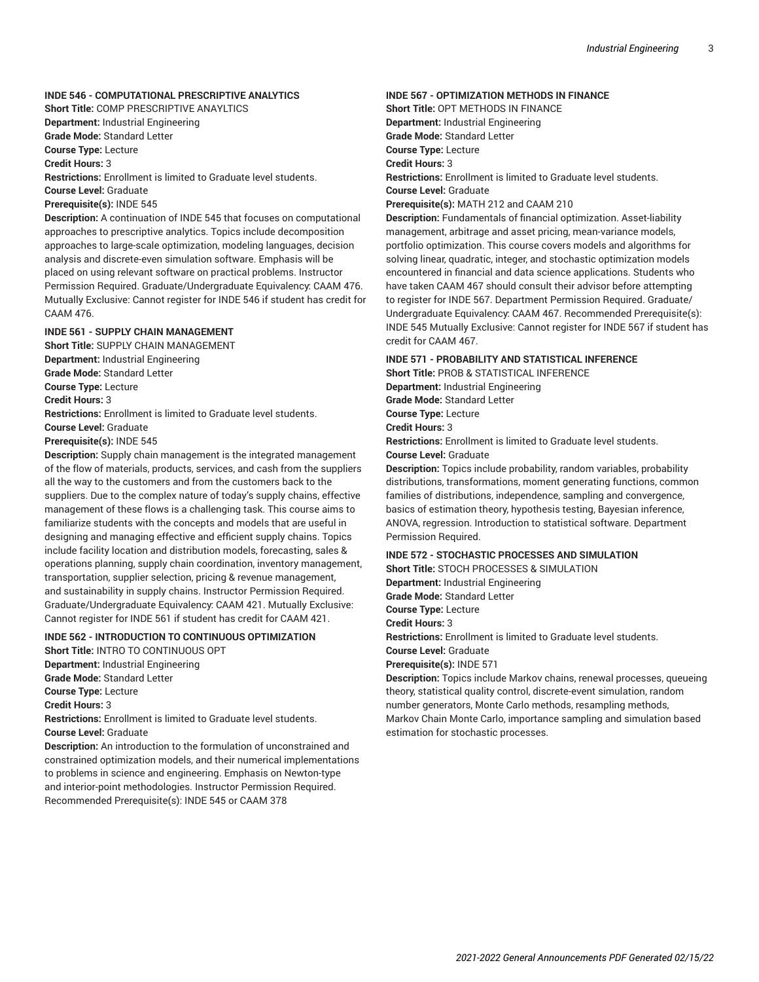#### **INDE 546 - COMPUTATIONAL PRESCRIPTIVE ANALYTICS**

**Short Title:** COMP PRESCRIPTIVE ANAYLTICS **Department:** Industrial Engineering

**Grade Mode:** Standard Letter

**Course Type:** Lecture

**Credit Hours:** 3

**Restrictions:** Enrollment is limited to Graduate level students.

**Course Level:** Graduate

**Prerequisite(s):** INDE 545

**Description:** A continuation of INDE 545 that focuses on computational approaches to prescriptive analytics. Topics include decomposition approaches to large-scale optimization, modeling languages, decision analysis and discrete-even simulation software. Emphasis will be placed on using relevant software on practical problems. Instructor Permission Required. Graduate/Undergraduate Equivalency: CAAM 476. Mutually Exclusive: Cannot register for INDE 546 if student has credit for CAAM 476.

#### **INDE 561 - SUPPLY CHAIN MANAGEMENT**

**Short Title:** SUPPLY CHAIN MANAGEMENT **Department:** Industrial Engineering **Grade Mode:** Standard Letter **Course Type:** Lecture **Credit Hours:** 3 **Restrictions:** Enrollment is limited to Graduate level students. **Course Level:** Graduate **Prerequisite(s):** INDE 545 **Description:** Supply chain management is the integrated management

of the flow of materials, products, services, and cash from the suppliers all the way to the customers and from the customers back to the suppliers. Due to the complex nature of today's supply chains, effective management of these flows is a challenging task. This course aims to familiarize students with the concepts and models that are useful in designing and managing effective and efficient supply chains. Topics include facility location and distribution models, forecasting, sales & operations planning, supply chain coordination, inventory management, transportation, supplier selection, pricing & revenue management, and sustainability in supply chains. Instructor Permission Required. Graduate/Undergraduate Equivalency: CAAM 421. Mutually Exclusive: Cannot register for INDE 561 if student has credit for CAAM 421.

#### **INDE 562 - INTRODUCTION TO CONTINUOUS OPTIMIZATION**

**Short Title:** INTRO TO CONTINUOUS OPT **Department:** Industrial Engineering **Grade Mode:** Standard Letter **Course Type:** Lecture **Credit Hours:** 3 **Restrictions:** Enrollment is limited to Graduate level students. **Course Level:** Graduate

**Description:** An introduction to the formulation of unconstrained and constrained optimization models, and their numerical implementations to problems in science and engineering. Emphasis on Newton-type and interior-point methodologies. Instructor Permission Required. Recommended Prerequisite(s): INDE 545 or CAAM 378

#### **INDE 567 - OPTIMIZATION METHODS IN FINANCE**

**Short Title:** OPT METHODS IN FINANCE **Department:** Industrial Engineering **Grade Mode:** Standard Letter **Course Type:** Lecture **Credit Hours:** 3 **Restrictions:** Enrollment is limited to Graduate level students. **Course Level:** Graduate **Prerequisite(s):** MATH 212 and CAAM 210

**Description:** Fundamentals of financial optimization. Asset-liability management, arbitrage and asset pricing, mean-variance models, portfolio optimization. This course covers models and algorithms for solving linear, quadratic, integer, and stochastic optimization models encountered in financial and data science applications. Students who have taken CAAM 467 should consult their advisor before attempting to register for INDE 567. Department Permission Required. Graduate/ Undergraduate Equivalency: CAAM 467. Recommended Prerequisite(s): INDE 545 Mutually Exclusive: Cannot register for INDE 567 if student has credit for CAAM 467.

#### **INDE 571 - PROBABILITY AND STATISTICAL INFERENCE**

**Short Title:** PROB & STATISTICAL INFERENCE **Department:** Industrial Engineering **Grade Mode:** Standard Letter **Course Type:** Lecture **Credit Hours:** 3 **Restrictions:** Enrollment is limited to Graduate level students.

**Course Level:** Graduate

**Description:** Topics include probability, random variables, probability distributions, transformations, moment generating functions, common families of distributions, independence, sampling and convergence, basics of estimation theory, hypothesis testing, Bayesian inference, ANOVA, regression. Introduction to statistical software. Department Permission Required.

#### **INDE 572 - STOCHASTIC PROCESSES AND SIMULATION**

**Short Title:** STOCH PROCESSES & SIMULATION

**Department:** Industrial Engineering **Grade Mode:** Standard Letter

**Course Type:** Lecture

**Credit Hours:** 3

**Restrictions:** Enrollment is limited to Graduate level students.

**Course Level:** Graduate

**Prerequisite(s):** INDE 571

**Description:** Topics include Markov chains, renewal processes, queueing theory, statistical quality control, discrete-event simulation, random number generators, Monte Carlo methods, resampling methods, Markov Chain Monte Carlo, importance sampling and simulation based estimation for stochastic processes.